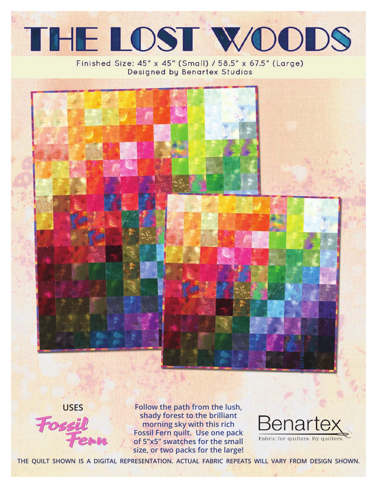

### Finished Size: 45" x 45" (Small) / 58.5" x 67.5" (Large) Designed by Benartex Studios



**USES**

**Follow the path from the lush, shady forest to the brilliant morning sky with this rich Fossil Fern quilt. Use one pack of 5"x5" swatches for the small size, or two packs for the large!**



**THE QUILT SHOWN IS A DIGITAL REPRESENTATION. ACTUAL FABRIC REPEATS WILL VARY FROM DESIGN SHOWN.**